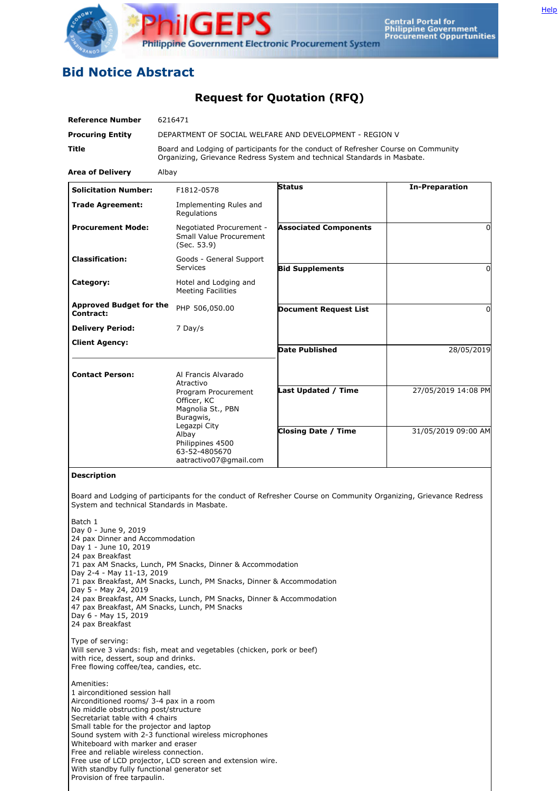

## **Bid Notice Abstract**

## **Request for Quotation (RFQ)**

| <b>Reference Number</b>                                                                                                                                                                                          | 6216471                                                                                                                                                                                                                                                       |                                                                                                                  |                       |
|------------------------------------------------------------------------------------------------------------------------------------------------------------------------------------------------------------------|---------------------------------------------------------------------------------------------------------------------------------------------------------------------------------------------------------------------------------------------------------------|------------------------------------------------------------------------------------------------------------------|-----------------------|
| <b>Procuring Entity</b>                                                                                                                                                                                          | DEPARTMENT OF SOCIAL WELFARE AND DEVELOPMENT - REGION V                                                                                                                                                                                                       |                                                                                                                  |                       |
| Title                                                                                                                                                                                                            | Board and Lodging of participants for the conduct of Refresher Course on Community<br>Organizing, Grievance Redress System and technical Standards in Masbate.                                                                                                |                                                                                                                  |                       |
| <b>Area of Delivery</b>                                                                                                                                                                                          | Albay                                                                                                                                                                                                                                                         |                                                                                                                  |                       |
| <b>Solicitation Number:</b>                                                                                                                                                                                      | F1812-0578                                                                                                                                                                                                                                                    | <b>Status</b>                                                                                                    | <b>In-Preparation</b> |
| <b>Trade Agreement:</b>                                                                                                                                                                                          | Implementing Rules and<br>Regulations                                                                                                                                                                                                                         |                                                                                                                  |                       |
| <b>Procurement Mode:</b>                                                                                                                                                                                         | Negotiated Procurement -<br>Small Value Procurement<br>(Sec. 53.9)                                                                                                                                                                                            | <b>Associated Components</b>                                                                                     | $\Omega$              |
| <b>Classification:</b>                                                                                                                                                                                           | Goods - General Support<br><b>Services</b>                                                                                                                                                                                                                    | <b>Bid Supplements</b>                                                                                           | $\Omega$              |
| Category:                                                                                                                                                                                                        | Hotel and Lodging and<br><b>Meeting Facilities</b>                                                                                                                                                                                                            |                                                                                                                  |                       |
| <b>Approved Budget for the</b><br>Contract:                                                                                                                                                                      | PHP 506,050.00                                                                                                                                                                                                                                                | <b>Document Request List</b>                                                                                     | 0                     |
| <b>Delivery Period:</b>                                                                                                                                                                                          | 7 Day/s                                                                                                                                                                                                                                                       |                                                                                                                  |                       |
| <b>Client Agency:</b>                                                                                                                                                                                            |                                                                                                                                                                                                                                                               | <b>Date Published</b>                                                                                            | 28/05/2019            |
| <b>Contact Person:</b>                                                                                                                                                                                           | Al Francis Alvarado                                                                                                                                                                                                                                           |                                                                                                                  |                       |
|                                                                                                                                                                                                                  | Atractivo<br>Program Procurement<br>Officer, KC<br>Magnolia St., PBN<br>Buragwis,<br>Legazpi City<br>Albay<br>Philippines 4500<br>63-52-4805670<br>aatractivo07@gmail.com                                                                                     | Last Updated / Time                                                                                              | 27/05/2019 14:08 PM   |
|                                                                                                                                                                                                                  |                                                                                                                                                                                                                                                               | <b>Closing Date / Time</b>                                                                                       | 31/05/2019 09:00 AM   |
| <b>Description</b>                                                                                                                                                                                               |                                                                                                                                                                                                                                                               |                                                                                                                  |                       |
| System and technical Standards in Masbate.                                                                                                                                                                       |                                                                                                                                                                                                                                                               | Board and Lodging of participants for the conduct of Refresher Course on Community Organizing, Grievance Redress |                       |
| Batch 1<br>Day 0 - June 9, 2019<br>24 pax Dinner and Accommodation<br>Day 1 - June 10, 2019<br>24 pax Breakfast<br>Day 2-4 - May 11-13, 2019<br>Day 5 - May 24, 2019<br>Day 6 - May 15, 2019<br>24 pax Breakfast | 71 pax AM Snacks, Lunch, PM Snacks, Dinner & Accommodation<br>71 pax Breakfast, AM Snacks, Lunch, PM Snacks, Dinner & Accommodation<br>24 pax Breakfast, AM Snacks, Lunch, PM Snacks, Dinner & Accommodation<br>47 pax Breakfast, AM Snacks, Lunch, PM Snacks |                                                                                                                  |                       |

Type of serving: Will serve 3 viands: fish, meat and vegetables (chicken, pork or beef) with rice, dessert, soup and drinks. Free flowing coffee/tea, candies, etc.

Amenities: 1 airconditioned session hall Airconditioned rooms/ 3-4 pax in a room No middle obstructing post/structure Secretariat table with 4 chairs Small table for the projector and laptop Sound system with 2-3 functional wireless microphones Whiteboard with marker and eraser Free and reliable wireless connection. Free use of LCD projector, LCD screen and extension wire. With standby fully functional generator set Provision of free tarpaulin.